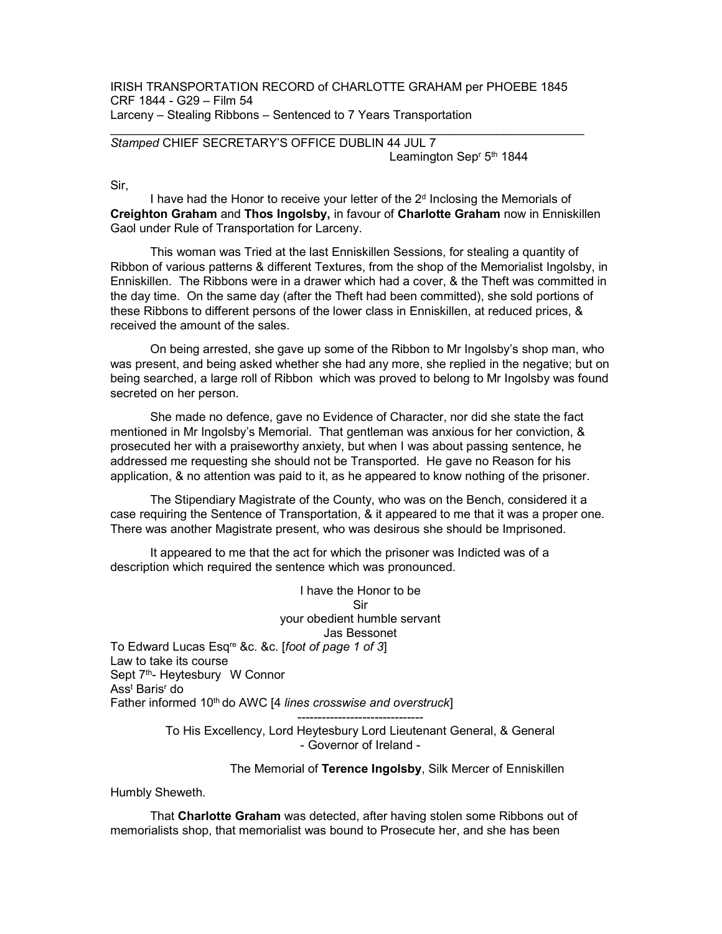IRISH TRANSPORTATION RECORD of CHARLOTTE GRAHAM per PHOEBE 1845 CRF 1844 - G29 – Film 54 Larceny – Stealing Ribbons – Sentenced to 7 Years Transportation

## Stamped CHIEF SECRETARY'S OFFICE DUBLIN 44 JUL 7 Leamington Sep<sup>r</sup> 5<sup>th</sup> 1844

Sir,

I have had the Honor to receive your letter of the  $2<sup>d</sup>$  Inclosing the Memorials of Creighton Graham and Thos Ingolsby, in favour of Charlotte Graham now in Enniskillen Gaol under Rule of Transportation for Larceny.

 This woman was Tried at the last Enniskillen Sessions, for stealing a quantity of Ribbon of various patterns & different Textures, from the shop of the Memorialist Ingolsby, in Enniskillen. The Ribbons were in a drawer which had a cover, & the Theft was committed in the day time. On the same day (after the Theft had been committed), she sold portions of these Ribbons to different persons of the lower class in Enniskillen, at reduced prices, & received the amount of the sales.

 On being arrested, she gave up some of the Ribbon to Mr Ingolsby's shop man, who was present, and being asked whether she had any more, she replied in the negative; but on being searched, a large roll of Ribbon which was proved to belong to Mr Ingolsby was found secreted on her person.

 She made no defence, gave no Evidence of Character, nor did she state the fact mentioned in Mr Ingolsby's Memorial. That gentleman was anxious for her conviction, & prosecuted her with a praiseworthy anxiety, but when I was about passing sentence, he addressed me requesting she should not be Transported. He gave no Reason for his application, & no attention was paid to it, as he appeared to know nothing of the prisoner.

 The Stipendiary Magistrate of the County, who was on the Bench, considered it a case requiring the Sentence of Transportation, & it appeared to me that it was a proper one. There was another Magistrate present, who was desirous she should be Imprisoned.

 It appeared to me that the act for which the prisoner was Indicted was of a description which required the sentence which was pronounced.

I have the Honor to be Sir your obedient humble servant Jas Bessonet To Edward Lucas Esq<sup>re</sup> &c. &c. [foot of page 1 of 3] Law to take its course Sept 7<sup>th</sup>- Heytesbury W Connor Ass<sup>t</sup> Baris<sup>r</sup> do Father informed 10<sup>th</sup> do AWC [4 lines crosswise and overstruck]

> ------------------------------- To His Excellency, Lord Heytesbury Lord Lieutenant General, & General - Governor of Ireland -

> > The Memorial of Terence Ingolsby, Silk Mercer of Enniskillen

Humbly Sheweth.

 That Charlotte Graham was detected, after having stolen some Ribbons out of memorialists shop, that memorialist was bound to Prosecute her, and she has been